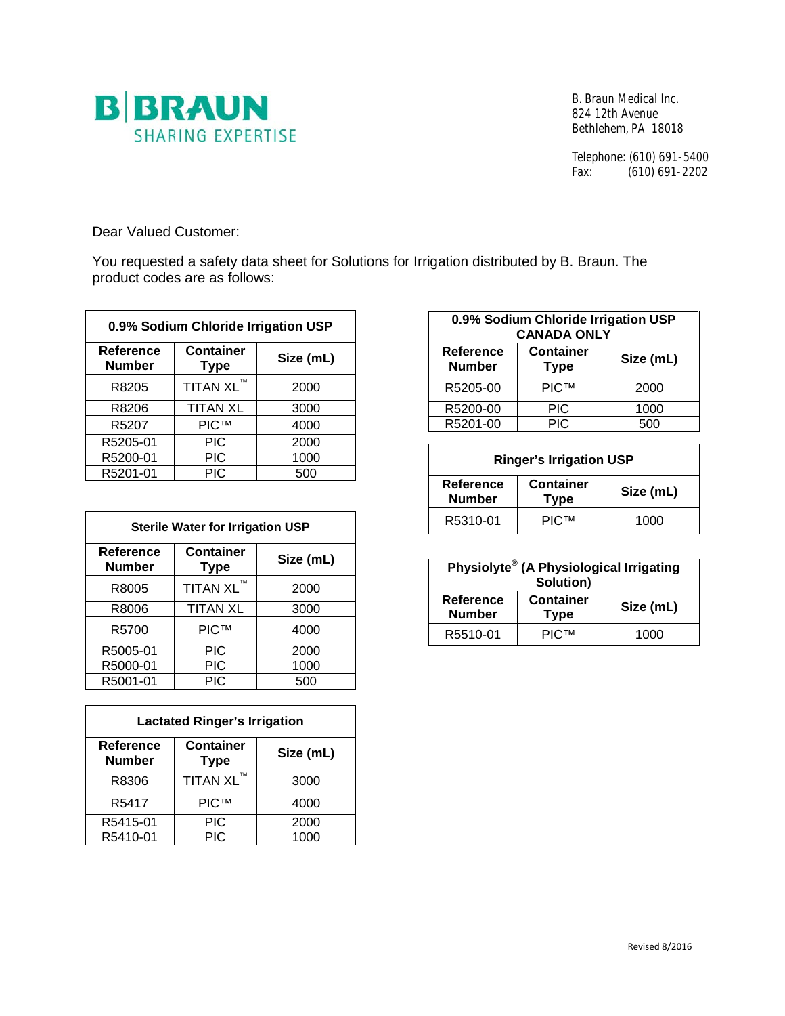

B. Braun Medical Inc. 824 12th Avenue Bethlehem, PA 18018

Telephone: (610) 691-5400<br>Fax: (610) 691-2202  $(610)$  691-2202

Dear Valued Customer:

You requested a safety data sheet for Solutions for Irrigation distributed by B. Braun. The product codes are as follows:

| 0.9% Sodium Chloride Irrigation USP |                                 |           |
|-------------------------------------|---------------------------------|-----------|
| <b>Reference</b><br><b>Number</b>   | <b>Container</b><br><b>Type</b> | Size (mL) |
| R8205                               | TITAN XL™                       | 2000      |
| R8206                               | <b>TITAN XL</b>                 | 3000      |
| R5207                               | <b>PIC™</b>                     | 4000      |
| R5205-01                            | <b>PIC</b>                      | 2000      |
| R5200-01                            | <b>PIC</b>                      | 1000      |
| R5201-01                            | <b>PIC</b>                      | 500       |

| <b>Sterile Water for Irrigation USP</b> |                                 |           |
|-----------------------------------------|---------------------------------|-----------|
| <b>Reference</b><br><b>Number</b>       | <b>Container</b><br><b>Type</b> | Size (mL) |
| R8005                                   | TITAN XL™                       | 2000      |
| R8006                                   | <b>TITAN XL</b>                 | 3000      |
| R5700                                   | <b>PICTM</b>                    | 4000      |
| R5005-01                                | <b>PIC</b>                      | 2000      |
| R5000-01                                | <b>PIC</b>                      | 1000      |
| R5001-01                                | <b>PIC</b>                      | 500       |

| <b>Lactated Ringer's Irrigation</b> |                                 |           |
|-------------------------------------|---------------------------------|-----------|
| <b>Reference</b><br><b>Number</b>   | <b>Container</b><br><b>Type</b> | Size (mL) |
| R8306                               | TITAN XL™                       | 3000      |
| R <sub>5417</sub>                   | <b>PIC™</b>                     | 4000      |
| R5415-01                            | <b>PIC</b>                      | 2000      |
| R5410-01                            | <b>PIC</b>                      | 1000      |

| 0.9% Sodium Chloride Irrigation USP<br><b>CANADA ONLY</b> |                                 |           |
|-----------------------------------------------------------|---------------------------------|-----------|
| Reference<br><b>Number</b>                                | <b>Container</b><br><b>Type</b> | Size (mL) |
| R5205-00                                                  | <b>PICTM</b>                    | 2000      |
| R5200-00                                                  | PIC                             | 1000      |
| R5201-00                                                  | <b>PIC</b>                      | 500       |

| <b>Ringer's Irrigation USP</b> |                                 |           |
|--------------------------------|---------------------------------|-----------|
| Reference<br><b>Number</b>     | <b>Container</b><br><b>Type</b> | Size (mL) |
| R5310-01                       | <b>PICTM</b>                    | 1000      |

| Physiolyte® (A Physiological Irrigating<br>Solution) |                                 |           |
|------------------------------------------------------|---------------------------------|-----------|
| Reference<br><b>Number</b>                           | <b>Container</b><br><b>Type</b> | Size (mL) |
| R5510-01                                             | <b>PICTM</b>                    | 1000      |